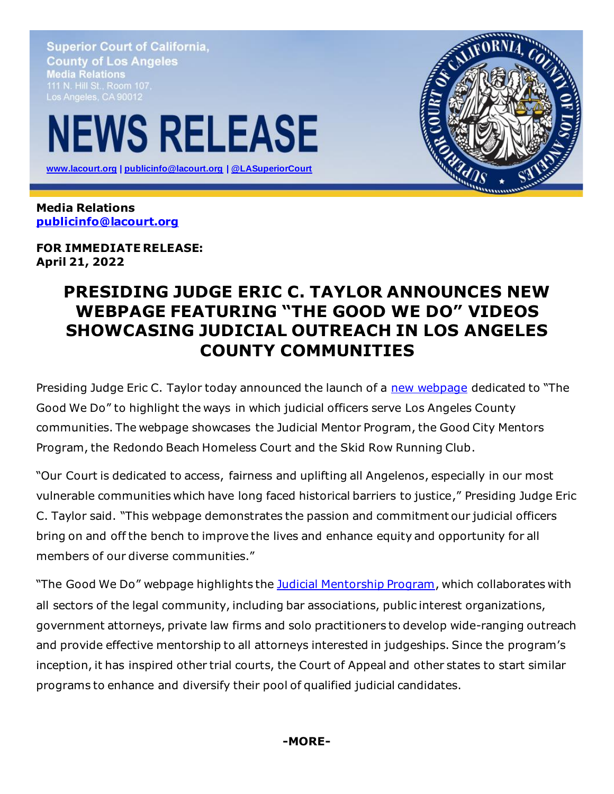**Superior Court of California, County of Los Angeles Media Relations** Los Angeles, CA 90012

## **NEWS RELEASE**

 **[www.lacourt.org](http://www.lacourt.org/) | [publicinfo@lacourt.org](mailto:publicinfo@lacourt.org) [| @LASuperiorCourt](https://twitter.com/LASuperiorCourt)**



**Media Relations [publicinfo@lacourt.org](mailto:publicinfo@lacourt.org)**

**FOR IMMEDIATE RELEASE: April 21, 2022**

## **PRESIDING JUDGE ERIC C. TAYLOR ANNOUNCES NEW WEBPAGE FEATURING "THE GOOD WE DO" VIDEOS SHOWCASING JUDICIAL OUTREACH IN LOS ANGELES COUNTY COMMUNITIES**

Presiding Judge Eric C. Taylor today announced the launch of a [new webpage](https://www.lacourt.org/generalinfo/communityoutreach/GI_CO025.aspx) dedicated to "The Good We Do" to highlight the ways in which judicial officers serve Los Angeles County communities. The webpage showcases the Judicial Mentor Program, the Good City Mentors Program, the Redondo Beach Homeless Court and the Skid Row Running Club.

"Our Court is dedicated to access, fairness and uplifting all Angelenos, especially in our most vulnerable communities which have long faced historical barriers to justice," Presiding Judge Eric C. Taylor said. "This webpage demonstrates the passion and commitment our judicial officers bring on and off the bench to improve the lives and enhance equity and opportunity for all members of our diverse communities."

"The Good We Do" webpage highlights th[e Judicial Mentorship Program](https://www.lacourt.org/generalinfo/youtube_jttt.htm?vid=iRj3KSvMCio), which collaborates with all sectors of the legal community, including bar associations, public interest organizations, government attorneys, private law firms and solo practitioners to develop wide-ranging outreach and provide effective mentorship to all attorneys interested in judgeships. Since the program's inception, it has inspired other trial courts, the Court of Appeal and other states to start similar programs to enhance and diversify their pool of qualified judicial candidates.